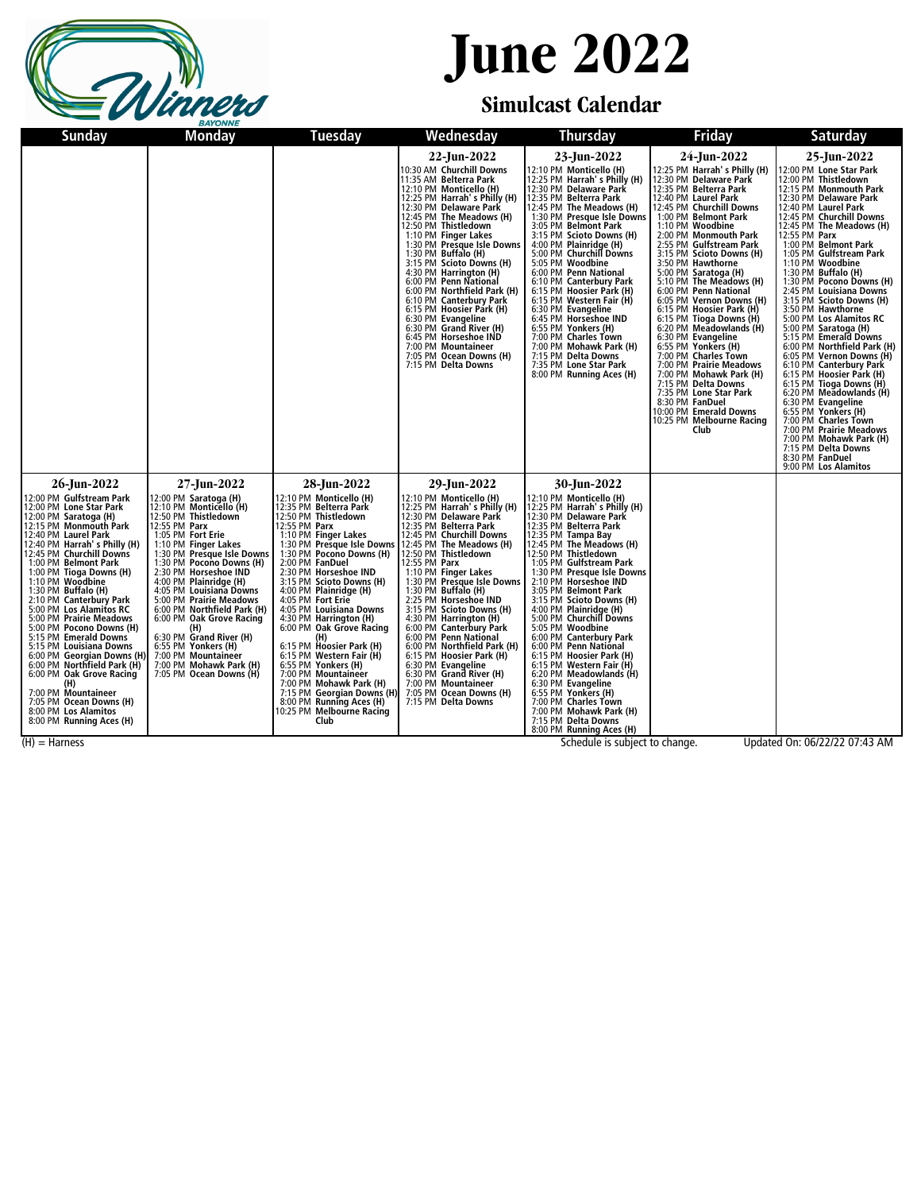

### **June 2022**

#### **Simulcast Calendar**

| Sunday                                                                                                                                                                                                                                                                                                                                                                                                                                                                                                                                                                                                                                                                         | Monday                                                                                                                                                                                                                                                                                                                                                                                                                                                                                                                    | Tuesday                                                                                                                                                                                                                                                                                                                                                                                                                                                                                                                                                                                                                                    | Wednesday                                                                                                                                                                                                                                                                                                                                                                                                                                                                                                                                                                                                                               | <b>Thursday</b>                                                                                                                                                                                                                                                                                                                                                                                                                                                                                                                                                                                                                                                                                               | <b>Friday</b>                                                                                                                                                                                                                                                                                                                                                                                                                                                                                                                                                                                                                                                                                                                                                | Saturday                                                                                                                                                                                                                                                                                                                                                                                                                                                                                                                                                                                                                                                                                                                                                                                                                                                                   |
|--------------------------------------------------------------------------------------------------------------------------------------------------------------------------------------------------------------------------------------------------------------------------------------------------------------------------------------------------------------------------------------------------------------------------------------------------------------------------------------------------------------------------------------------------------------------------------------------------------------------------------------------------------------------------------|---------------------------------------------------------------------------------------------------------------------------------------------------------------------------------------------------------------------------------------------------------------------------------------------------------------------------------------------------------------------------------------------------------------------------------------------------------------------------------------------------------------------------|--------------------------------------------------------------------------------------------------------------------------------------------------------------------------------------------------------------------------------------------------------------------------------------------------------------------------------------------------------------------------------------------------------------------------------------------------------------------------------------------------------------------------------------------------------------------------------------------------------------------------------------------|-----------------------------------------------------------------------------------------------------------------------------------------------------------------------------------------------------------------------------------------------------------------------------------------------------------------------------------------------------------------------------------------------------------------------------------------------------------------------------------------------------------------------------------------------------------------------------------------------------------------------------------------|---------------------------------------------------------------------------------------------------------------------------------------------------------------------------------------------------------------------------------------------------------------------------------------------------------------------------------------------------------------------------------------------------------------------------------------------------------------------------------------------------------------------------------------------------------------------------------------------------------------------------------------------------------------------------------------------------------------|--------------------------------------------------------------------------------------------------------------------------------------------------------------------------------------------------------------------------------------------------------------------------------------------------------------------------------------------------------------------------------------------------------------------------------------------------------------------------------------------------------------------------------------------------------------------------------------------------------------------------------------------------------------------------------------------------------------------------------------------------------------|----------------------------------------------------------------------------------------------------------------------------------------------------------------------------------------------------------------------------------------------------------------------------------------------------------------------------------------------------------------------------------------------------------------------------------------------------------------------------------------------------------------------------------------------------------------------------------------------------------------------------------------------------------------------------------------------------------------------------------------------------------------------------------------------------------------------------------------------------------------------------|
|                                                                                                                                                                                                                                                                                                                                                                                                                                                                                                                                                                                                                                                                                |                                                                                                                                                                                                                                                                                                                                                                                                                                                                                                                           |                                                                                                                                                                                                                                                                                                                                                                                                                                                                                                                                                                                                                                            | 22-Jun-2022<br>10:30 AM Churchill Downs<br>11:35 AM Belterra Park<br>12:10 PM Monticello (H)<br>12:25 PM Harrah's Philly (H)<br>12:30 PM Delaware Park<br>12:45 PM The Meadows (H)<br>12:50 PM Thistledown<br>1:10 PM Finger Lakes<br>1:10 PM Finger Lakes<br>1:30 PM Presque Isle Downs<br>1:30 PM Buffalo (H)<br>3:15 PM Scioto Downs (H)<br>4:30 PM Harrington (H)<br>6:00 PM Penn National<br>6:00 PM Northfield Park (H)<br>6:10 PM Canterbury Park<br>6:15 PM Hoosier Park (H)<br>6:30 PM Evangeline<br>6:30 PM Grand River (H)<br>6:45 PM Horseshoe IND<br>7:00 PM Mountaineer<br>7:05 PM Ocean Downs (H)<br>7:15 PM Delta Downs | 23-Jun-2022<br>12:10 PM Monticello (H)<br>12:25 PM Harrah's Philly (H)<br>12:30 PM Delaware Park<br>12:35 PM Belterra Park<br>12:45 PM The Meadows (H)<br>1:30 PM Presque Isle Downs<br>3:05 PM Belmont Park<br>3:15 PM Scioto Downs (H)<br>4:00 PM Plainridge (H)<br>5:00 PM Churchill Downs<br>5:05 PM Woodbine<br>6:00 PM Penn National<br>6:10 PM Canterbury Park<br>6:15 PM Hoosier Park (H)<br>6:15 PM Western Fair (H)<br>6:30 PM Evangeline<br>6:45 PM Horseshoe IND<br>6:55 PM Yonkers (H)<br>7:00 PM Charles Town<br>7:00 PM Mohawk Park (H)<br>7:15 PM Delta Downs<br>7:35 PM Lone Star Park<br>8:00 PM Running Aces (H)                                                                           | 24-Jun-2022<br>12:25 PM Harrah's Philly (H)<br>12:30 PM Delaware Park<br>12:35 PM Belterra Park<br>12:40 PM Laurel Park<br>12:45 PM Churchill Downs<br>1:00 PM Belmont Park<br>1:10 PM Woodbine<br>2:00 PM Monmouth Park<br>2:55 PM Gulfstream Park<br>3:15 PM Scioto Downs (H)<br>3:50 PM Hawthorne<br>5:00 PM Saratoga (H)<br>5:10 PM The Meadows (H)<br>6:00 PM Penn National<br>6:05 PM Vernon Downs (H)<br>6:15 PM Hoosier Park (H)<br>6:15 PM Tioga Downs (H)<br>6:20 PM Meadowlands (H)<br>6:30 PM Evangeline<br>6:55 PM Yonkers (H)<br>7:00 PM Charles Town<br>7:00 PM Prairie Meadows<br>7:00 PM Mohawk Park (H)<br>7:15 PM Delta Downs<br>7:35 PM Lone Star Park<br>8:30 PM FanDuel<br>10:00 PM Emerald Downs<br>10:25 PM Melbourne Racing<br>Club | 25-Jun-2022<br>12:00 PM Lone Star Park<br>12:00 PM Thistledown<br>12:15 PM Monmouth Park<br>12:30 PM Delaware Park<br>12:40 PM Laurel Park<br>12:45 PM Churchill Downs<br>12:45 PM The Meadows (H)<br>12:55 PM Parx<br>1:00 PM Belmont Park<br>1:05 PM Gulfstream Park<br>1:10 PM Woodbine<br>1:30 PM Buffalo (H)<br>1:30 PM Pocono Downs (H)<br>2:45 PM Louisiana Downs<br>3:15 PM Scioto Downs (H)<br>3:50 PM Hawthorne<br>5:00 PM Los Alamitos RC<br>5:00 PM Saratoga (H)<br>5:15 PM Emerald Downs<br>6:00 PM Northfield Park (H)<br>6:05 PM Vernon Downs (H)<br>6:10 PM Canterbury Park<br>6:15 PM Hoosier Park (H)<br>6:15 PM Tioga Downs (H)<br>6:20 PM Meadowlands (H)<br>6:30 PM Evangeline<br>6:55 PM Yonkers (H)<br>7:00 PM Charles Town<br>7:00 PM Prairie Meadows<br>7:00 PM Mohawk Park (H)<br>7:15 PM Delta Downs<br>8:30 PM FanDuel<br>9:00 PM Los Alamitos |
| 26-Jun-2022<br>12:00 PM Gulfstream Park<br>12:00 PM Lone Star Park<br>12:00 PM Saratoga (H)<br>12:15 PM Monmouth Park<br>12:40 PM Laurel Park<br>12:40 PM Harrah's Philly (H)<br>12:45 PM Churchill Downs<br>1:00 PM Belmont Park<br>1:00 PM Tioga Downs (H)<br>1:10 PM Woodbine<br>1:30 PM Buffalo (H)<br>2:10 PM Canterbury Park<br>5:00 PM Los Alamitos RC<br>5:00 PM Prairie Meadows<br>5:00 PM Pocono Downs (H)<br>5:15 PM Emerald Downs<br>5:15 PM Louisiana Downs<br>6:00 PM Georgian Downs (H)<br>6:00 PM Northfield Park (H)<br>6:00 PM Oak Grove Racing<br>(H)<br>7:00 PM Mountaineer<br>7:05 PM Ocean Downs (H)<br>8:00 PM Los Alamitos<br>8:00 PM Running Aces (H) | 27-Jun-2022<br>12:00 PM Saratoga (H)<br>12:10 PM Monticello (H)<br>12:50 PM Thistledown<br>12:55 PM Parx<br>1:05 PM Fort Erie<br>1:10 PM Finger Lakes<br>1:30 PM Presque Isle Downs<br>1:30 PM Pocono Downs (H)<br>2:30 PM Horseshoe IND<br>4:00 PM Plainridge (H)<br>4:05 PM Louisiana Downs<br>5:00 PM Prairie Meadows<br>6:00 PM Northfield Park (H)<br>6:00 PM Oak Grove Racing<br>(H)<br>6:30 PM Grand River (H)<br>6:55 PM Yonkers (H)<br>7:00 PM Mountaineer<br>7:00 PM Mohawk Park (H)<br>7:05 PM Ocean Downs (H) | 28-Jun-2022<br>12:10 PM Monticello (H)<br>12:35 PM Belterra Park<br>12:50 PM Thistledown<br>12:55 PM Parx<br>1:10 PM Finger Lakes<br>1:30 PM Presque Isle Downs<br>1:30 PM Pocono Downs (H)<br>2:00 PM FanDuel<br>2:30 PM Horseshoe IND<br>3:15 PM Scioto Downs (H)<br>4:00 PM Plainridge (H)<br>4:05 PM Fort Erie<br>4:05 PM Louisiana Downs<br>4:30 PM Harrington (H)<br>6:00 PM Oak Grove Racing<br>(H)<br>6:15 PM Hoosier Park (H)<br>6:15 PM Western Fair (H)<br>6:55 PM Yonkers (H)<br>7:00 PM Mountaineer<br>7:00 PM Mohawk Park (H)<br>7:15 PM Georgian Downs (H)<br>8:00 PM Running Aces (H)<br>10:25 PM Melbourne Racing<br>Club | 29-Jun-2022<br>12:10 PM Monticello (H)<br>12:25 PM Harrah's Philly (H)<br>12:30 PM Delaware Park<br>12:35 PM Belterra Park<br>12:45 PM Churchill Downs<br>12:45 PM The Meadows (H)<br>12:50 PM Thistledown<br>12:55 PM Parx<br>1:10 PM Finger Lakes<br>1:30 PM Presque Isle Downs<br>1:30 PM Buffalo (H)<br>2:25 PM Horseshoe IND<br>3:15 PM Scioto Downs (H)<br>4:30 PM Harrington (H)<br>6:00 PM Canterbury Park<br>6:00 PM Penn National<br>6:00 PM Northfield Park (H)<br>6:15 PM Hoosier Park (H)<br>6:30 PM Evangeline<br>6:30 PM Grand River (H)<br>7:00 PM Mountaineer<br>7:05 PM Ocean Downs (H)<br>7:15 PM Delta Downs        | 30-Jun-2022<br>12:10 PM Monticello (H)<br>12:25 PM Harrah's Philly (H)<br>12:30 PM Delaware Park<br>12:35 PM Belterra Park<br>12:35 PM Tampa Bay<br>12:45 PM The Meadows (H)<br>12:50 PM Thistledown<br>1:05 PM Gulfstream Park<br>1:30 PM Presque Isle Downs<br>2:10 PM Horseshoe IND<br>3:05 PM Belmont Park<br>3:15 PM Scioto Downs (H)<br>4:00 PM Plainridge (H)<br>5:00 PM Churchill Downs<br>5:05 PM Woodbine<br>6:00 PM Canterbury Park<br>6:00 PM Penn National<br>6:15 PM Hoosier Park (H)<br>6:15 PM Western Fair (H)<br>6:20 PM Meadowlands (H)<br>6:30 PM Evangeline<br>6:55 PM Yonkers (H)<br>7:00 PM Charles Town<br>7:00 PM Mohawk Park (H)<br>7:15 PM Delta Downs<br>8:00 PM Running Aces (H) |                                                                                                                                                                                                                                                                                                                                                                                                                                                                                                                                                                                                                                                                                                                                                              |                                                                                                                                                                                                                                                                                                                                                                                                                                                                                                                                                                                                                                                                                                                                                                                                                                                                            |

(H) = Harness Schedule is subject to change. Updated On: 06/22/22 07:43 AM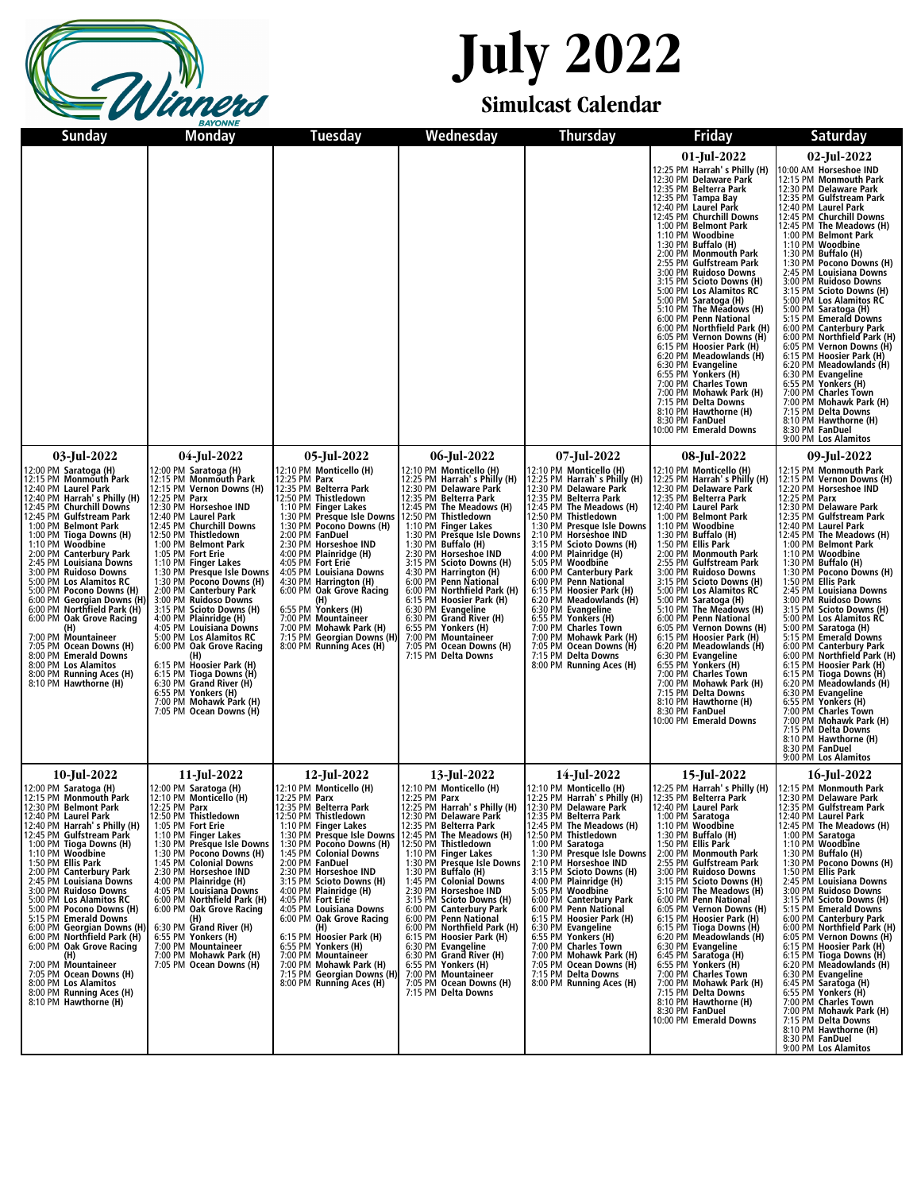

## **July 2022**

#### **Simulcast Calendar**

| <b>Sunday</b>                                                                                                                                                                                                                                                                                                                                                                                                                                                                                                                                                                                                                                                                                                                                | Monday                                                                                                                                                                                                                                                                                                                                                                                                                                                                                                                                                                        | <b>Tuesday</b>                                                                                                                                                                                                                                                                                                                                                                                                                                                                                                                                                                                                   | Wednesday                                                                                                                                                                                                                                                                                                                                                                                                                                                                                                                                                                                      | <b>Thursday</b>                                                                                                                                                                                                                                                                                                                                                                                                                                                                                                                                                                                                                             | <b>Friday</b>                                                                                                                                                                                                                                                                                                                                                                                                                                                                                                                                                                                                                                                                                                                                                      | <b>Saturday</b>                                                                                                                                                                                                                                                                                                                                                                                                                                                                                                                                                                                                                                                                                                                                                                                                                                                                                      |
|----------------------------------------------------------------------------------------------------------------------------------------------------------------------------------------------------------------------------------------------------------------------------------------------------------------------------------------------------------------------------------------------------------------------------------------------------------------------------------------------------------------------------------------------------------------------------------------------------------------------------------------------------------------------------------------------------------------------------------------------|-------------------------------------------------------------------------------------------------------------------------------------------------------------------------------------------------------------------------------------------------------------------------------------------------------------------------------------------------------------------------------------------------------------------------------------------------------------------------------------------------------------------------------------------------------------------------------|------------------------------------------------------------------------------------------------------------------------------------------------------------------------------------------------------------------------------------------------------------------------------------------------------------------------------------------------------------------------------------------------------------------------------------------------------------------------------------------------------------------------------------------------------------------------------------------------------------------|------------------------------------------------------------------------------------------------------------------------------------------------------------------------------------------------------------------------------------------------------------------------------------------------------------------------------------------------------------------------------------------------------------------------------------------------------------------------------------------------------------------------------------------------------------------------------------------------|---------------------------------------------------------------------------------------------------------------------------------------------------------------------------------------------------------------------------------------------------------------------------------------------------------------------------------------------------------------------------------------------------------------------------------------------------------------------------------------------------------------------------------------------------------------------------------------------------------------------------------------------|--------------------------------------------------------------------------------------------------------------------------------------------------------------------------------------------------------------------------------------------------------------------------------------------------------------------------------------------------------------------------------------------------------------------------------------------------------------------------------------------------------------------------------------------------------------------------------------------------------------------------------------------------------------------------------------------------------------------------------------------------------------------|------------------------------------------------------------------------------------------------------------------------------------------------------------------------------------------------------------------------------------------------------------------------------------------------------------------------------------------------------------------------------------------------------------------------------------------------------------------------------------------------------------------------------------------------------------------------------------------------------------------------------------------------------------------------------------------------------------------------------------------------------------------------------------------------------------------------------------------------------------------------------------------------------|
|                                                                                                                                                                                                                                                                                                                                                                                                                                                                                                                                                                                                                                                                                                                                              |                                                                                                                                                                                                                                                                                                                                                                                                                                                                                                                                                                               |                                                                                                                                                                                                                                                                                                                                                                                                                                                                                                                                                                                                                  |                                                                                                                                                                                                                                                                                                                                                                                                                                                                                                                                                                                                |                                                                                                                                                                                                                                                                                                                                                                                                                                                                                                                                                                                                                                             | 01-Jul-2022<br>12:25 PM Harrah's Philly (H)<br>12:30 PM Delaware Park<br>12:35 PM Belterra Park<br>12:35 PM Tampa Bay<br>12:40 PM Laurel Park<br>12:45 PM Churchill Downs<br>1:00 PM Belmont Park<br>1:10 PM Woodbine<br>1:10 PM Woodbine<br>1:30 PM Buffalo (H)<br>2:55 PM Gulfstream Park<br>3:00 PM Ruidoso Downs<br>3:15 PM Scioto Downs (H)<br>5:00 PM Los Alamitos RC<br>5:00 PM Saratoga (H)<br>5:10 PM The Meadows (H)<br>6:00 PM Penn National<br>6:00 PM Penn National<br>6:00 PM Vernon Downs (H)<br>6:15 PM Hoosier Park (H)<br>6:20 PM Meadowlands (H)<br>6:30 PM Evangeline<br>6:55 PM Yonkers (H)<br>7:00 PM Charles Town<br>7:00 PM Mohawk Park (H)<br>7:15 PM Delta Downs<br>8:10 PM Hawthorne (H)<br>8:30 PM FanDuel<br>10:00 PM Emerald Downs   | 02-Jul-2022<br>10:00 AM Horseshoe IND<br>12:15 PM Monmouth Park<br>12:30 PM Delaware Park<br>12:35 PM Gulfstream Park<br>12:40 PM Laurel Park<br>12:49 PM Churchill Downs<br>12:45 PM Churchill Downs<br>12:45 PM The Meadows (H)<br>1:00 PM Belmont Park<br>1:30 PM Buffalo (H)<br>1:30 PM Pocono Downs (H)<br>2:30 PM Pocono Downs (H)<br>2:45 PM I Quiciana Downs<br>2:45 PM Louisiana Downs<br>3:00 PM Ruidoso Downs<br>3:15 PM Scioto Downs (H)<br>5:00 PM Los Alamitos RC<br>5:00 PM Saratoga (H)<br>5.15 PM Emerald Downs<br>6.00 PM Canterbury Park<br>6.00 PM Canterbury Park<br>6.05 PM Vernon Downs (H)<br>6.15 PM Hoosier Park (H)<br>6.15 PM Hoosier Park (H)<br>6:20 PM Meadowlands (H)<br>6:30 PM Evangeline<br>6:55 PM Yonkers (H)<br>7:00 PM Charles Town<br>7:00 PM Mohawk Park (H)<br>7:00 PM Mohawk Park (H)<br>7:15 PM Hawthorne (H)<br>8:30 PM FanDuel<br>9:00 PM Los Alamitos |
| 03-Jul-2022<br>12:00 PM Saratoga (H)<br>12:15 PM Monmouth Park<br>12:40 PM Laurel Park<br>12:40 PM Harrah's Philly (H)<br>12:45 PM Churchill Downs<br>12:45 PM Gulfstream Park<br>1:00 PM Belmont Park<br>1:00 PM Tioga Downs (H)<br>1:10 PM Woodbine<br>2:00 PM Canterbury Park<br>2:45 PM Louisiana Downs<br>3:00 PM Ruidoso Downs<br>SOUTH LOS Alamitos RC (1.30 PM Presque Isle Downs (H)<br>5:00 PM Pocono Downs (H) (2:00 PM Canterbury Park<br>6:00 PM Georgian Downs (H) (2:00 PM Canterbury Park<br>6:00 PM Northfield Park (H) (3:15 PM Scioto Downs (H)<br>6:00 PM<br>(H)<br>7:00 PM Mountaineer<br>7:05 PM Ocean Downs (H)<br>8:00 PM Emerald Downs<br>8:00 PM Los Alamitos<br>8:00 PM Running Aces (H)<br>8:10 PM Hawthorne (H) | 04-Jul-2022<br>12:00 PM Saratoga (H)<br>12:15 PM Monmouth Park<br>12:15 PM Vernon Downs (H)<br>12:25 PM Parx<br>12:30 PM Horseshoe IND<br>12:40 PM Laurel Park<br>12:45 PM Churchill Downs<br>12:50 PM Thistledown<br>1:00 PM Belmont Park<br>1:05 PM Fort Erie<br>1:10 PM Finger Lakes<br>1:30 PM Presque Isle Downs<br>4:05 PM Louisiana Downs<br>5:00 PM Los Alamitos RC<br>6:00 PM Oak Grove Racing<br>(H)<br>6:15 PM Hoosier Park (H)<br>6:15 PM Tioga Downs (H)<br>6:30 PM Grand River (H)<br>6:55 PM Yonkers (H)<br>7:00 PM Mohawk Park (H)<br>7:05 PM Ocean Downs (H) | 05-Jul-2022<br>12:10 PM Monticello (H)<br>12:25 PM Parx<br>12:25 PM Parx<br>12:50 PM Thistledown<br>1:10 PM Finger Lakes<br>1:30 PM Presque Isle Downs<br>1:30 PM Pocono Downs (H)<br>2:00 PM FanDuel<br>2:30 PM Horseshoe IND<br>4:00 PM Plainridge (H)<br>4:05 PM Fort Erie<br>4:05 PM Louisiana Downs<br>4:30 PM Harrington (H)<br>6:00 PM Oak Grove Racing<br>(H)<br>6:55 PM Yonkers (H)<br>7:00 PM Mountaineer<br>7:00 PM Mohawk Park (H)<br>7:15 PM Georgian Downs (H)<br>8:00 PM Running Aces (H)                                                                                                         | 06-Jul-2022<br>12:10 PM Monticello (H)<br>12:25 PM Harrah's Philly (H)<br>12:30 PM Delaware Park<br>12:35 PM Belterra Park<br>12:45 PM The Meadows (H)<br>12:50 PM Thistledown<br>1:10 PM Finger Lakes<br>1:30 PM Presque Isle Downs<br>1:30 PM Buffalo (H)<br>2:30 PM Horseshoe IND<br>2.:36 PM Scioto Downs (H)<br>4:30 PM Harrington (H)<br>4:30 PM Harrington (H)<br>6:00 PM Northfield Park (H)<br>6:15 PM Hoosier Park (H)<br>6:30 PM Evangeline<br>6:30 PM Grand River (H)<br>6:55 PM Yonkers (H)<br>7:00 PM Mountaineer<br>7:05 PM Ocean Downs (H)<br>7:15 PM Delta Downs              | 07-Jul-2022<br>12:10 PM Monticello (H)<br>12:25 PM Harrah's Philly (H)<br>12:30 PM Delaware Park<br>12:35 PM Belterra Park<br>12:45 PM The Meadows (H)<br>12:50 PM Thistledown<br>1:30 PM Presque Isle Downs<br>2:10 PM Horseshoe IND<br>2:15 PM Scioto Downs (H)<br>4:00 PM Plainridge (H)<br>5:05 PM Woodbine<br>6:00 PM Canterbury Park<br>6:00 PM Penn National<br>6:15 PM Hoosier Park (H)<br>6:20 PM Meadowlands (H)<br>6:30 PM Evangeline<br>6:55 PM Yonkers (H)<br>0:55 PM TOMAELS (11)<br>7:00 PM Charles Town<br>7:00 PM Mohawk Park (H)<br>7:05 PM Ocean Downs (H)<br>7:15 PM Delta Downs<br>8:00 PM Running Aces (H)            | 08-Jul-2022<br>12:10 PM Monticello (H)<br>12:25 PM Harrah's Philly (H)<br>12:30 PM Delaware Park<br>12:35 PM Belterra Park<br>12:40 PM Laurel Park<br>1:00 PM Belmont Park<br>1:10 PM Woodbine<br>1:30 PM Buffalo (H)<br>1:50 PM Ellis Park<br>2:00 PM Monmouth Park<br>2:55 PM Gulfstream Park<br>3:00 PM Ruidoso Downs<br>3:15 PM Scioto Downs (H)<br>5:00 PM Los Alamitos RC<br>5:00 PM Saratoga (H)<br>5:10 PM The Meadows (H)<br>6:00 PM Penn National<br>6.05 PM Vernon Downs (H)<br>6.05 PM Vernon Downs (H)<br>6.20 PM Meadowlands (H)<br>6.30 PM Venngeline<br>6.55 PM Yonkers (H)<br>6.55 PM Yonkers (H)<br>7:00 PM Charles Town<br>7:00 PM Mohawk Park (H)<br>7:15 PM Delta Downs<br>8:10 PM Hawthorne (H)<br>8:30 PM FanDuel<br>10:00 PM Emerald Downs | 09-Jul-2022<br>12:15 PM Monmouth Park<br>12:15 PM Vernon Downs (H)<br>12:20 PM Horseshoe IND<br>12:25 PM Parx<br>12:30 PM Delaware Park<br>12:35 PM Gulfstream Park<br>12:40 PM Laurel Park<br>12:45 PM The Meadows (H)<br>1:00 PM Belmont Park<br>1:10 PM Woodbine<br>1:30 PM Buffalo (H)<br>1:30 PM Pocono Downs (H)<br>1:50 PM Ellis Park<br>2:45 PM Louisiana Downs<br>3:00 PM Ruidoso Downs<br>3:15 PM Scioto Downs (H)<br>5:00 PM Los Alamitos RC<br>5:00 PM Saratoga (H)<br>5:15 PM Emerald Downs<br>6:00 PM Canterbury Park<br>6:00 PM Northfield Park (H)<br>6:15 PM Hoosier Park (H)<br>6:15 PM Tioga Downs (H)<br>6:20 PM Meadowlands (H)<br>6:30 PM Evangeline<br>6:55 PM Yonkers (H)<br>7:00 PM Charles Town<br>7:00 PM Mohawk Park (H)<br>7:15 PM Delta Downs<br>8:10 PM Hawthorne (H)<br>8:30 PM FanDuel<br>9:00 PM Los Alamitos                                                      |
| 10-Jul-2022<br>12:00 PM Saratoga (H)<br>12:15 PM Monmouth Park<br>12:30 PM Belmont Park<br>12:40 PM Laurel Park<br>12:40 PM Harrah's Philly (H)<br>12:45 PM Gulfstream Park<br>1:00 PM Tioga Downs (H)<br>1:10 PM Woodbine<br>1:50 PM Ellis Park<br>2:00 PM Canterbury Park<br>2:45 PM Louisiana Downs<br>3:00 PM Ruidoso Downs<br>5:00 PM Los Alamitos RC<br>5:00 PM Pocono Downs (H)<br>5:15 PM Emerald Downs<br>6:00 PM Georgian Downs (H)<br>6:00 PM Northfield Park (H)<br>6:00 PM Oak Grove Racing<br>(H)<br>7:00 PM Mountaineer<br>7:05 PM Ocean Downs (H)<br>8:00 PM Los Alamitos<br>8:00 PM Running Aces (H)<br>8:10 PM Hawthorne (H)                                                                                               | 11-Jul-2022<br>12:00 PM Saratoga (H)<br>12:10 PM Monticello (H)<br>12:25 PM <b>Parx</b><br>12:50 PM Thistledown<br>1:05 PM Fort Erie<br>1:10 PM Finger Lakes<br>1:30 PM Presque Isle Downs<br>1:30 PM Pocono Downs (H)<br>1:45 PM Colonial Downs<br>2:30 PM Horseshoe IND<br>4:00 PM Plainridge (H)<br>4:05 PM Louisiana Downs<br>6:00 PM Northfield Park (H)<br>6:00 PM Oak Grove Racing<br>(H)<br>6:30 PM Grand River (H)<br>6:55 PM Yonkers (H)<br>7:00 PM Mountaineer<br>7:00 PM Mohawk Park (H)<br>7:05 PM Ocean Downs (H)                                               | 12-Jul-2022<br>12:10 PM Monticello (H)<br>12:25 PM Parx<br>12:35 PM Belterra Park<br>12:50 PM Thistledown<br>1:10 PM Finger Lakes<br>1:30 PM Presque Isle Downs 12:45 PM The Meadows (H)<br>1:30 PM Pocono Downs (H) 12:50 PM Thistledown<br>1:45 PM Colonial Downs<br>2:00 PM FanDuel<br>2:30 PM Horseshoe IND<br>3:15 PM Scioto Downs (H)<br>4:00 PM Plainridge (H)<br>4:05 PM Fort Erie<br>4:05 PM Louisiana Downs<br>6:00 PM Oak Grove Racing<br>6:15 PM Hoosier Park (H)<br>6:55 PM Yonkers (H)<br>7:00 PM Mountaineer<br>7:00 PM Mohawk Park (H)<br>7:15 PM Georgian Downs (H)<br>8:00 PM Running Aces (H) | 13-Jul-2022<br>12:10 PM Monticello (H)<br>12:25 PM Parx<br>12:25 PM Harrah' s Philly (H)<br>12:30 PM Delaware Park<br>12:35 PM Belterra Park<br>1:10 PM Finger Lakes<br>1:30 PM Presque Isle Downs<br>1:30 PM Buffalo (H)<br>1:45 PM Colonial Downs<br>2:30 PM Horseshoe IND<br>3:15 PM Scioto Downs (H)<br>6:00 PM Canterbury Park<br>6:00 PM Penn National<br>6:00 PM Northfield Park (H)<br>6:15 PM Hoosier Park (H)<br>6:30 PM Evangeline<br>6:30 PM Evangeline<br>6:30 PM Grand River (H)<br>6:55 PM Yonkers (H)<br>7:00 PM Mountaineer<br>7:05 PM Ocean Downs (H)<br>7:15 PM Delta Downs | 14-Jul-2022<br>12:10 PM Monticello (H)   12:25 PM Harrah's Phill<br>12:25 PM Harrah's Philly (H)   12:35 PM Belterra Park<br>12:30 PM Delaware Park<br>12:35 PM Belterra Park<br>12:45 PM The Meadows (H)<br>12:50 PM Thistledown<br>1:00 PM Saratoga<br>1:00 FM Stratugal<br>2:10 PM Horseshoe IND<br>3:15 PM Scioto Downs (H)<br>4:00 PM Plainridge (H)<br>5:05 PM Woodbine<br>6:00 PM Canterbury Park<br>6:00 PM Penn National<br>6:15 PM Hoosier Park (H)<br>6:30 PM Evangeline<br>6:55 PM Yonkers (H)<br>7:00 PM Charles Town<br>7:00 PM Mohawk Park (H)<br>7:05 PM Ocean Downs (H)<br>7:15 PM Delta Downs<br>8:00 PM Running Aces (H) | 15-Jul-2022<br>12:25 PM Harrah's Philly (H)<br>12:40 PM Laurel Park<br>1:00 PM Saratoga<br>1:10 PM Woodbine<br>1:30 PM Buffalo (H)<br>1:50 PM Ellis Park<br>2:00 PM Monmouth Park<br>2:55 PM Gulfstream Park<br>3:00 PM Ruidoso Downs<br>3:15 PM Scioto Downs (H)<br>5:10 PM The Meadows (H)<br>6:00 PM Penn National<br>6:05 PM Vernon Downs (H)<br>6:15 PM Hoosier Park (H)<br>6:15 PM Tioga Downs (H)<br>6:20 PM Meadowlands (H)<br>6:30 PM Evangeline<br>6:45 PM Saratoga (H)<br>6:55 PM Yonkers (H)<br>7:00 PM Charles Town<br>7:00 PM Mohawk Park (H)<br>7:15 PM Delta Downs<br>8:10 PM Hawthorne (H)<br>8:30 PM FanDuel<br>10:00 PM Emerald Downs                                                                                                           | 16-Jul-2022<br>12:15 PM Monmouth Park<br>12:30 PM Delaware Park<br>12:35 PM Gulfstream Park<br>12:40 PM Laurel Park<br>12:45 PM The Meadows (H)<br>1:00 PM Saratoga<br>1:10 PM Woodbine<br>1:30 PM Buffalo (H)<br>1:30 PM Pocono Downs (H)<br>1:50 PM Ellis Park<br>2:45 PM Louisiana Downs<br>3:00 PM Ruidoso Downs<br>3:15 PM Scioto Downs (H)<br>5:15 PM Emerald Downs<br>6:00 PM Canterbury Park<br>6:00 PM Northfield Park (H)<br>6:05 PM Vernon Downs (H)<br>6:15 PM Hoosier Park (H)<br>6:15 PM Tioga Downs (H)<br>6:20 PM Meadowlands (H)<br>6:30 PM Evangeline<br>6:45 PM Saratoga (H)<br>6:55 PM Yonkers (H)<br>7:00 PM Charles Town<br>7:00 PM Mohawk Park (H)<br>7:15 PM Delta Downs<br>8:10 PM Hawthorne (H)<br>8:30 PM FanDuel<br>9:00 PM Los Alamitos                                                                                                                                 |